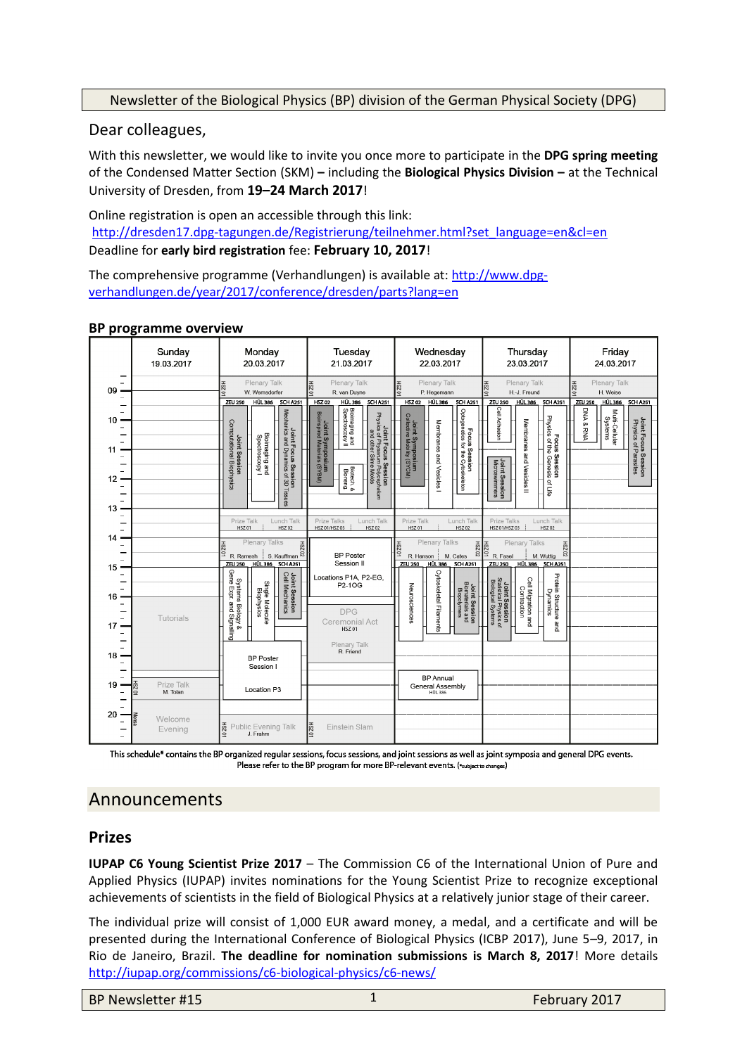#### Newsletter of the Biological Physics (BP) division of the German Physical Society (DPG)

### Dear colleagues,

With this newsletter, we would like to invite you once more to participate in the **DPG spring meeting**  of the Condensed Matter Section (SKM) **–** including the **Biological Physics Division –** at the Technical University of Dresden, from **19–24 March 2017**!

Online registration is open an accessible through this link: [http://dresden17.dpg-tagungen.de/Registrierung/teilnehmer.html?set\\_language=en&cl=en](http://dresden17.dpg-tagungen.de/Registrierung/teilnehmer.html?set_language=en&cl=en) Deadline for **early bird registration** fee: **February 10, 2017**!

The comprehensive programme (Verhandlungen) is available at: [http://www.dpg](http://www.dpg-verhandlungen.de/year/2017/conference/dresden/parts?lang=en)[verhandlungen.de/year/2017/conference/dresden/parts?lang=en](http://www.dpg-verhandlungen.de/year/2017/conference/dresden/parts?lang=en)

#### Sunday Monday Tuesday Wednesday Thursday Friday 22.03.2017 23.03.2017 24.03.2017 19.03.2017 20.03.2017 21.03.2017 Plenary Talk Dlenary Talk Plenary Talk Plenary Talk Plenary Talk 09 W. Wernsdorfer R. van Duvne P. Hegemann H.-J. Freund H. Weise **ZEU 250 HOL 386** SCHA25  $HSZ$ 02 **HÜL 386** SCH A251  $HSZ$ 02 **HOL386 SCH A251 ZEU 250 HÜL 386 SCH A251 ZEU 250 HOL386 SCH A251** Spe DNA & RNA Multi-Cellula<br>Systems Jell Ad Physics  $10 \mathcal{S}$ Joint Focus<br>Physics of P Membranes Membranes Focus Session<br><sup>netics for the Cyto</sup> Bioimaging and<br>Spectroscopy I putational Biophy Focus<br>softhe Joint Session Ĵ nt Focus Session<br>and Dynamics of 3D s of Parasites  $11$ s Session<br>e Genesis jand<br>B and Vesicles II **Session** (SYCM Biotech. 8<br>Bioneng. Vesicles  $12.$  $\frac{2}{3}$ of Life  $13$ rize Talk Lunch Ta<br>нsz 01 нsz 02 PTIZE TAIKS<br>HSZ01/HSZ03 HSZ 02 HSZ 01/HSZ 03  $HSZ 01$ **HSZ02 HSZ02**  $14.$ Plenary Talks Plenary Talks 20 ZSH  $028H$ **ASSI** Z0 ZSH S. Kauffma **BP Poster** R. Hanson M. Cates R. Fasel M. Wuttig R. Ramesh **ZEU 250**  $H(1)$  386 **SCH A251** Session II **ZEU 250**  $H(1.386)$ **SCH A251 ZEU 250 HÜL 386 SCH A251**  $15 -$ Joint Session<br>Cell Mechanics Cytoskeleta Cell Migration and<br>Contraction Proteir Locations P1A, P2-EG Single Molecule<br>Biophysics Systems P2-10G Neurosciences Expr. in Structure<br>Dynamics  $16$ ns Biology &<br>r. and Signall **DPG** Tutorials ial Act jand  $17$  $H5701$ Plenary Talk<br>R. Friend 18 **BP Post** Session I **BP** Annual 19 Prize Talk<br>M. Tolan General Assembly Location P3  $20 -$ Welcome Einstein Slam  $128H$ Public Evening Talk<br>J. Frahm Evening

#### **BP programme overview**

This schedule\* contains the BP organized regular sessions, focus sessions, and joint sessions as well as joint symposia and general DPG events. Please refer to the BP program for more BP-relevant events. (\*subject to changes)

# Announcements

## **Prizes**

**IUPAP C6 Young Scientist Prize 2017** – The Commission C6 of the International Union of Pure and Applied Physics (IUPAP) invites nominations for the Young Scientist Prize to recognize exceptional achievements of scientists in the field of Biological Physics at a relatively junior stage of their career.

The individual prize will consist of 1,000 EUR award money, a medal, and a certificate and will be presented during the International Conference of Biological Physics (ICBP 2017), June 5–9, 2017, in Rio de Janeiro, Brazil. **The deadline for nomination submissions is March 8, 2017**! More details <http://iupap.org/commissions/c6-biological-physics/c6-news/>

BP Newsletter #15 1 February 2017